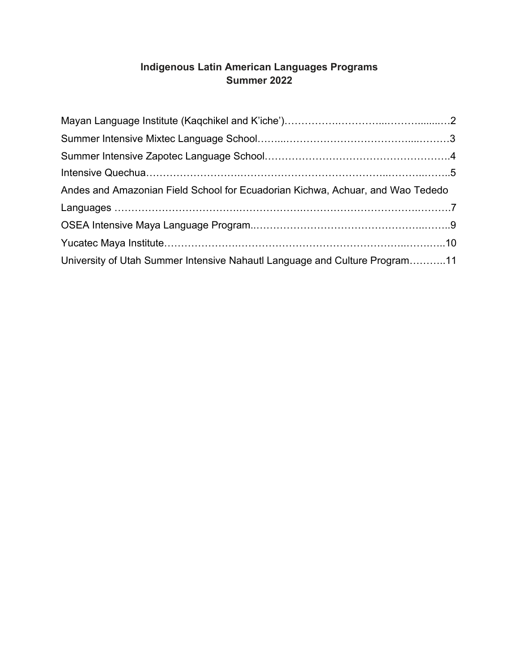# **Indigenous Latin American Languages Programs Summer 2022**

| Andes and Amazonian Field School for Ecuadorian Kichwa, Achuar, and Wao Tededo |  |
|--------------------------------------------------------------------------------|--|
|                                                                                |  |
|                                                                                |  |
|                                                                                |  |
| University of Utah Summer Intensive Nahautl Language and Culture Program11     |  |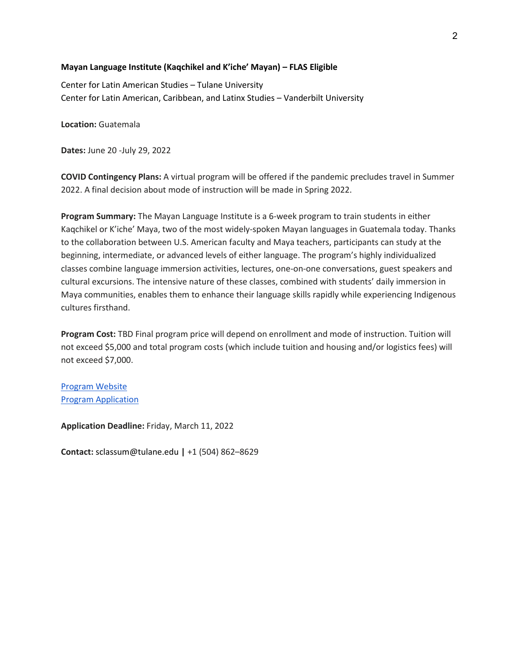### **Mayan Language Institute (Kaqchikel and K'iche' Mayan) – FLAS Eligible**

Center for Latin American Studies – Tulane University Center for Latin American, Caribbean, and Latinx Studies – Vanderbilt University

**Location:** Guatemala

**Dates:** June 20 -July 29, 2022

**COVID Contingency Plans:** A virtual program will be offered if the pandemic precludes travel in Summer 2022. A final decision about mode of instruction will be made in Spring 2022.

**Program Summary:** The Mayan Language Institute is a 6-week program to train students in either Kaqchikel or K'iche' Maya, two of the most widely-spoken Mayan languages in Guatemala today. Thanks to the collaboration between U.S. American faculty and Maya teachers, participants can study at the beginning, intermediate, or advanced levels of either language. The program's highly individualized classes combine language immersion activities, lectures, one-on-one conversations, guest speakers and cultural excursions. The intensive nature of these classes, combined with students' daily immersion in Maya communities, enables them to enhance their language skills rapidly while experiencing Indigenous cultures firsthand.

**Program Cost:** TBD Final program price will depend on enrollment and mode of instruction. Tuition will not exceed \$5,000 and total program costs (which include tuition and housing and/or logistics fees) will not exceed \$7,000.

[Program Website](https://stonecenter.tulane.edu/node/2578) [Program Application](https://studyabroadprograms.tulane.edu/index.cfm?FuseAction=Programs.ViewProgram&Program_ID=10237)

**Application Deadline:** Friday, March 11, 2022

**Contact:** sclassum@tulane.edu **|** +1 (504) 862–8629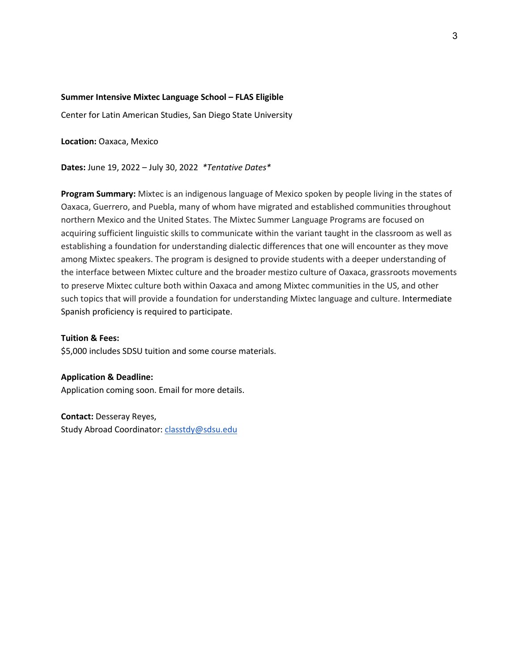#### **Summer Intensive Mixtec Language School – FLAS Eligible**

Center for Latin American Studies, San Diego State University

**Location:** Oaxaca, Mexico

**Dates:** June 19, 2022 – July 30, 2022 *\*Tentative Dates\** 

**Program Summary:** Mixtec is an indigenous language of Mexico spoken by people living in the states of Oaxaca, Guerrero, and Puebla, many of whom have migrated and established communities throughout northern Mexico and the United States. The Mixtec Summer Language Programs are focused on acquiring sufficient linguistic skills to communicate within the variant taught in the classroom as well as establishing a foundation for understanding dialectic differences that one will encounter as they move among Mixtec speakers. The program is designed to provide students with a deeper understanding of the interface between Mixtec culture and the broader mestizo culture of Oaxaca, grassroots movements to preserve Mixtec culture both within Oaxaca and among Mixtec communities in the US, and other such topics that will provide a foundation for understanding Mixtec language and culture. Intermediate Spanish proficiency is required to participate.

**Tuition & Fees:** \$5,000 includes SDSU tuition and some course materials.

**Application & Deadline:** 

Application coming soon. Email for more details.

**Contact:** Desseray Reyes, Study Abroad Coordinator[: classtdy@sdsu.edu](mailto:classtdy@sdsu.edu)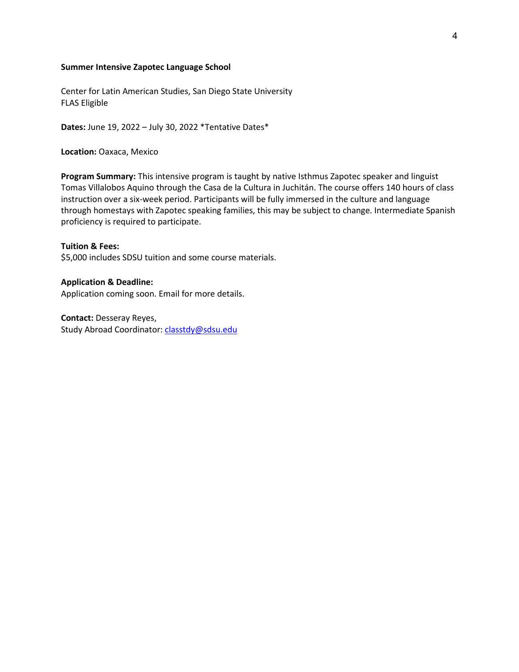#### **Summer Intensive Zapotec Language School**

Center for Latin American Studies, San Diego State University FLAS Eligible

**Dates:** June 19, 2022 – July 30, 2022 \*Tentative Dates\*

**Location:** Oaxaca, Mexico

**Program Summary:** This intensive program is taught by native Isthmus Zapotec speaker and linguist Tomas Villalobos Aquino through the Casa de la Cultura in Juchitán. The course offers 140 hours of class instruction over a six-week period. Participants will be fully immersed in the culture and language through homestays with Zapotec speaking families, this may be subject to change. Intermediate Spanish proficiency is required to participate.

**Tuition & Fees:** \$5,000 includes SDSU tuition and some course materials.

**Application & Deadline:**  Application coming soon. Email for more details.

**Contact:** Desseray Reyes, Study Abroad Coordinator[: classtdy@sdsu.edu](mailto:classtdy@sdsu.edu)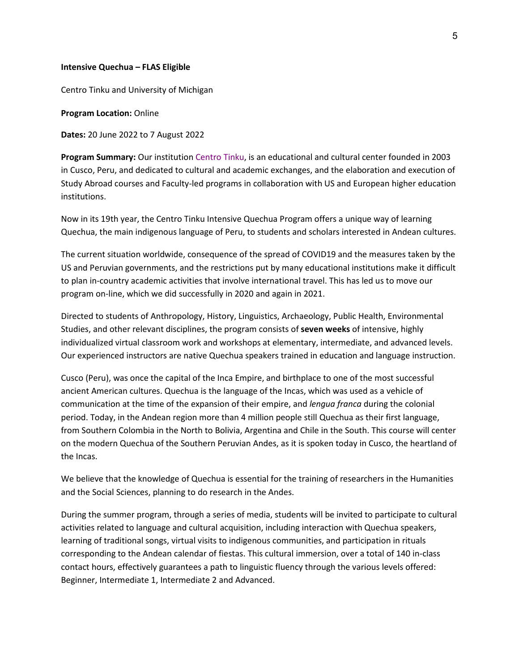#### **Intensive Quechua – FLAS Eligible**

Centro Tinku and University of Michigan

#### **Program Location:** Online

**Dates:** 20 June 2022 to 7 August 2022

**Program Summary:** Our institution Centro Tinku, is an educational and cultural center founded in 2003 in Cusco, Peru, and dedicated to cultural and academic exchanges, and the elaboration and execution of Study Abroad courses and Faculty-led programs in collaboration with US and European higher education institutions.

Now in its 19th year, the Centro Tinku Intensive Quechua Program offers a unique way of learning Quechua, the main indigenous language of Peru, to students and scholars interested in Andean cultures.

The current situation worldwide, consequence of the spread of COVID19 and the measures taken by the US and Peruvian governments, and the restrictions put by many educational institutions make it difficult to plan in-country academic activities that involve international travel. This has led us to move our program on-line, which we did successfully in 2020 and again in 2021.

Directed to students of Anthropology, History, Linguistics, Archaeology, Public Health, Environmental Studies, and other relevant disciplines, the program consists of **seven weeks** of intensive, highly individualized virtual classroom work and workshops at elementary, intermediate, and advanced levels. Our experienced instructors are native Quechua speakers trained in education and language instruction.

Cusco (Peru), was once the capital of the Inca Empire, and birthplace to one of the most successful ancient American cultures. Quechua is the language of the Incas, which was used as a vehicle of communication at the time of the expansion of their empire, and *lengua franca* during the colonial period. Today, in the Andean region more than 4 million people still Quechua as their first language, from Southern Colombia in the North to Bolivia, Argentina and Chile in the South. This course will center on the modern Quechua of the Southern Peruvian Andes, as it is spoken today in Cusco, the heartland of the Incas.

We believe that the knowledge of Quechua is essential for the training of researchers in the Humanities and the Social Sciences, planning to do research in the Andes.

During the summer program, through a series of media, students will be invited to participate to cultural activities related to language and cultural acquisition, including interaction with Quechua speakers, learning of traditional songs, virtual visits to indigenous communities, and participation in rituals corresponding to the Andean calendar of fiestas. This cultural immersion, over a total of 140 in-class contact hours, effectively guarantees a path to linguistic fluency through the various levels offered: Beginner, Intermediate 1, Intermediate 2 and Advanced.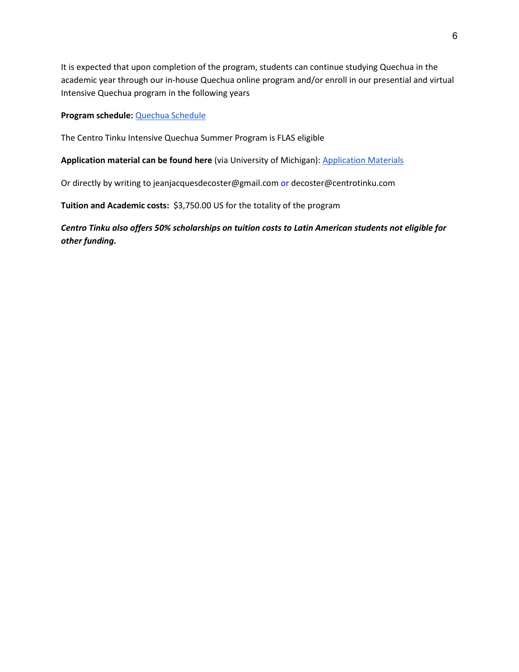It is expected that upon completion of the program, students can continue studying Quechua in the academic year through our in-house Quechua online program and/or enroll in our presential and virtual Intensive Quechua program in the following years

### **Program schedule:** [Quechua Schedule](https://nam04.safelinks.protection.outlook.com/?url=https%3A%2F%2Flsa.umich.edu%2Fcontent%2Fdam%2Flacs-assets%2Flacs-documents%2Fquechua_schedule.pdf&data=04%7C01%7Csofia.m.ludwig%40Vanderbilt.Edu%7C51f7e3e151f141674bff08d9bf14c2ba%7Cba5a7f39e3be4ab3b45067fa80faecad%7C0%7C0%7C637750918147023353%7CUnknown%7CTWFpbGZsb3d8eyJWIjoiMC4wLjAwMDAiLCJQIjoiV2luMzIiLCJBTiI6Ik1haWwiLCJXVCI6Mn0%3D%7C3000&sdata=Mut2K8TA7%2F%2BYV2XZYPOkn41VK%2FrVVJVcw1ytwihLzuk%3D&reserved=0)

The Centro Tinku Intensive Quechua Summer Program is FLAS eligible

**Application material can be found here** (via University of Michigan)[: Application Materials](https://nam04.safelinks.protection.outlook.com/?url=https%3A%2F%2Fii.umich.edu%2Flacs%2Fstudents%2Flanguage-&data=04%7C01%7Csofia.m.ludwig%40Vanderbilt.Edu%7C51f7e3e151f141674bff08d9bf14c2ba%7Cba5a7f39e3be4ab3b45067fa80faecad%7C0%7C0%7C637750918147023353%7CUnknown%7CTWFpbGZsb3d8eyJWIjoiMC4wLjAwMDAiLCJQIjoiV2luMzIiLCJBTiI6Ik1haWwiLCJXVCI6Mn0%3D%7C3000&sdata=5AUwuJFJjsukbpcxCTkys982rEIXImJzmrrDCa6HkFI%3D&reserved=0)

Or directly by writing to jeanjacquesdecoster@gmail.com or decoster@centrotinku.com

**Tuition and Academic costs:** \$3,750.00 US for the totality of the program

*Centro Tinku also offers 50% scholarships on tuition costs to Latin American students not eligible for other funding.*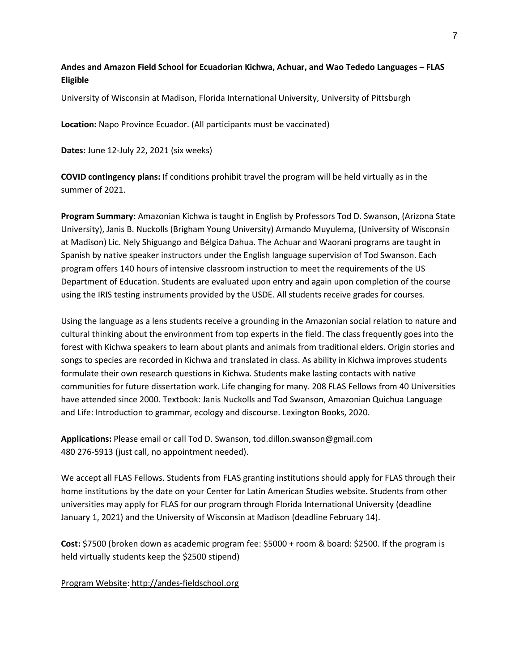# **Andes and Amazon Field School for Ecuadorian Kichwa, Achuar, and Wao Tededo Languages – FLAS Eligible**

University of Wisconsin at Madison, Florida International University, University of Pittsburgh

**Location:** Napo Province Ecuador. (All participants must be vaccinated)

**Dates:** June 12-July 22, 2021 (six weeks)

**COVID contingency plans:** If conditions prohibit travel the program will be held virtually as in the summer of 2021.

**Program Summary:** Amazonian Kichwa is taught in English by Professors Tod D. Swanson, (Arizona State University), Janis B. Nuckolls (Brigham Young University) Armando Muyulema, (University of Wisconsin at Madison) Lic. Nely Shiguango and Bélgica Dahua. The Achuar and Waorani programs are taught in Spanish by native speaker instructors under the English language supervision of Tod Swanson. Each program offers 140 hours of intensive classroom instruction to meet the requirements of the US Department of Education. Students are evaluated upon entry and again upon completion of the course using the IRIS testing instruments provided by the USDE. All students receive grades for courses.

Using the language as a lens students receive a grounding in the Amazonian social relation to nature and cultural thinking about the environment from top experts in the field. The class frequently goes into the forest with Kichwa speakers to learn about plants and animals from traditional elders. Origin stories and songs to species are recorded in Kichwa and translated in class. As ability in Kichwa improves students formulate their own research questions in Kichwa. Students make lasting contacts with native communities for future dissertation work. Life changing for many. 208 FLAS Fellows from 40 Universities have attended since 2000. Textbook: Janis Nuckolls and Tod Swanson, Amazonian Quichua Language and Life: Introduction to grammar, ecology and discourse. Lexington Books, 2020.

**Applications:** Please email or call Tod D. Swanson, tod.dillon.swanson@gmail.com 480 276-5913 (just call, no appointment needed).

We accept all FLAS Fellows. Students from FLAS granting institutions should apply for FLAS through their home institutions by the date on your Center for Latin American Studies website. Students from other universities may apply for FLAS for our program through Florida International University (deadline January 1, 2021) and the University of Wisconsin at Madison (deadline February 14).

**Cost:** \$7500 (broken down as academic program fee: \$5000 + room & board: \$2500. If the program is held virtually students keep the \$2500 stipend)

Program Website: [http://andes-fieldschool.org](http://andes-fieldschool.org/)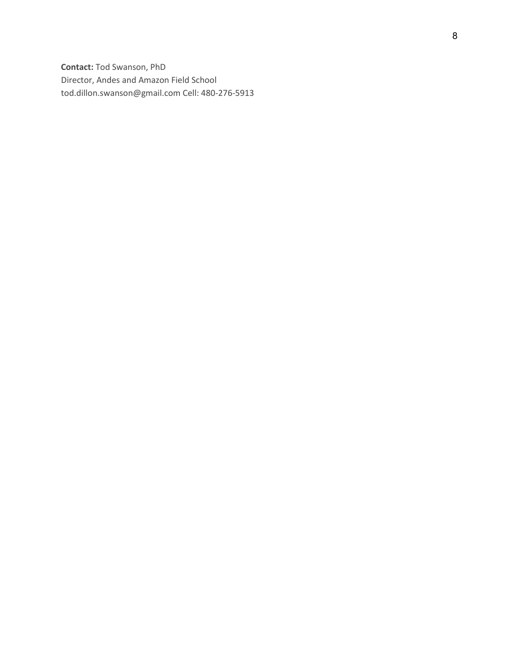**Contact:** Tod Swanson, PhD Director, Andes and Amazon Field School tod.dillon.swanson@gmail.com Cell: 480-276-5913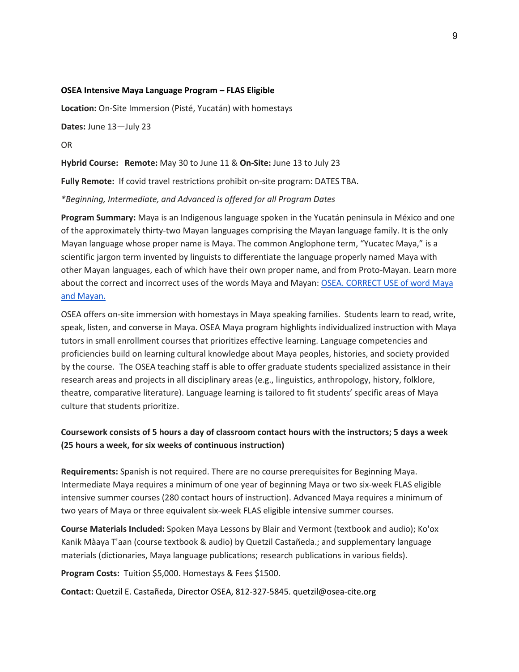#### **OSEA Intensive Maya Language Program – FLAS Eligible**

**Location:** On-Site Immersion (Pisté, Yucatán) with homestays

**Dates:** June 13—July 23

OR

**Hybrid Course: Remote:** May 30 to June 11 & **On-Site:** June 13 to July 23

**Fully Remote:** If covid travel restrictions prohibit on-site program: DATES TBA.

*\*Beginning, Intermediate, and Advanced is offered for all Program Dates*

**Program Summary:** Maya is an Indigenous language spoken in the Yucatán peninsula in México and one of the approximately thirty-two Mayan languages comprising the Mayan language family. It is the only Mayan language whose proper name is Maya. The common Anglophone term, "Yucatec Maya," is a scientific jargon term invented by linguists to differentiate the language properly named Maya with other Mayan languages, each of which have their own proper name, and from Proto-Mayan. Learn more about the correct and incorrect uses of the words Maya and Mayan: OSEA. CORRECT USE of word Maya [and Mayan.](http://www.osea-cite.org/program/maya_or_mayans.php)

OSEA offers on-site immersion with homestays in Maya speaking families. Students learn to read, write, speak, listen, and converse in Maya. OSEA Maya program highlights individualized instruction with Maya tutors in small enrollment courses that prioritizes effective learning. Language competencies and proficiencies build on learning cultural knowledge about Maya peoples, histories, and society provided by the course. The OSEA teaching staff is able to offer graduate students specialized assistance in their research areas and projects in all disciplinary areas (e.g., linguistics, anthropology, history, folklore, theatre, comparative literature). Language learning is tailored to fit students' specific areas of Maya culture that students prioritize.

# **Coursework consists of 5 hours a day of classroom contact hours with the instructors; 5 days a week (25 hours a week, for six weeks of continuous instruction)**

**Requirements:** Spanish is not required. There are no course prerequisites for Beginning Maya. Intermediate Maya requires a minimum of one year of beginning Maya or two six-week FLAS eligible intensive summer courses (280 contact hours of instruction). Advanced Maya requires a minimum of two years of Maya or three equivalent six-week FLAS eligible intensive summer courses.

**Course Materials Included:** Spoken Maya Lessons by Blair and Vermont (textbook and audio); Ko'ox Kanik Màaya T'aan (course textbook & audio) by Quetzil Castañeda.; and supplementary language materials (dictionaries, Maya language publications; research publications in various fields).

**Program Costs:** Tuition \$5,000. Homestays & Fees \$1500.

**Contact:** Quetzil E. Castañeda, Director OSEA, 812-327-5845. quetzil@osea-cite.org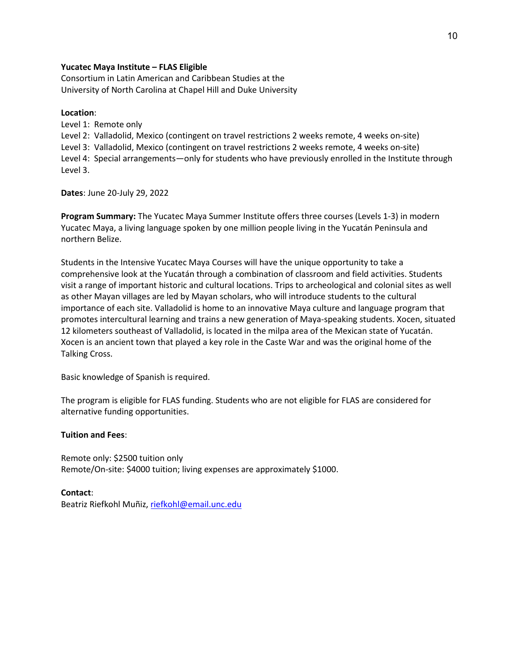### **Yucatec Maya Institute – FLAS Eligible**

Consortium in Latin American and Caribbean Studies at the University of North Carolina at Chapel Hill and Duke University

### **Location**:

Level 1: Remote only Level 2: Valladolid, Mexico (contingent on travel restrictions 2 weeks remote, 4 weeks on-site) Level 3: Valladolid, Mexico (contingent on travel restrictions 2 weeks remote, 4 weeks on-site) Level 4: Special arrangements—only for students who have previously enrolled in the Institute through Level 3.

**Dates**: June 20-July 29, 2022

**Program Summary:** The Yucatec Maya Summer Institute offers three courses (Levels 1-3) in modern Yucatec Maya, a living language spoken by one million people living in the Yucatán Peninsula and northern Belize.

Students in the Intensive Yucatec Maya Courses will have the unique opportunity to take a comprehensive look at the Yucatán through a combination of classroom and field activities. Students visit a range of important historic and cultural locations. Trips to archeological and colonial sites as well as other Mayan villages are led by Mayan scholars, who will introduce students to the cultural importance of each site. Valladolid is home to an innovative Maya culture and language program that promotes intercultural learning and trains a new generation of Maya-speaking students. Xocen, situated 12 kilometers southeast of Valladolid, is located in the milpa area of the Mexican state of Yucatán. Xocen is an ancient town that played a key role in the Caste War and was the original home of the Talking Cross.

Basic knowledge of Spanish is required.

The program is eligible for FLAS funding. Students who are not eligible for FLAS are considered for alternative funding opportunities.

#### **Tuition and Fees**:

Remote only: \$2500 tuition only Remote/On-site: \$4000 tuition; living expenses are approximately \$1000.

#### **Contact**:

Beatriz Riefkohl Muñiz[, riefkohl@email.unc.edu](mailto:riefkohl@email.unc.edu)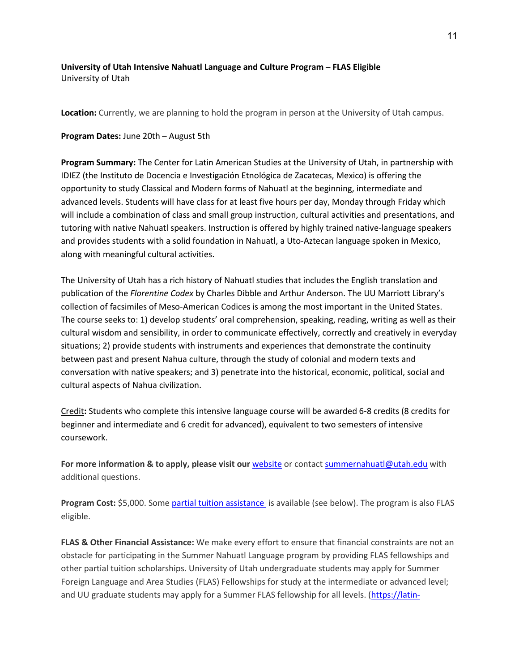### **University of Utah Intensive Nahuatl Language and Culture Program – FLAS Eligible** University of Utah

**Location:** Currently, we are planning to hold the program in person at the University of Utah campus.

### **Program Dates:** June 20th – August 5th

**Program Summary:** The Center for Latin American Studies at the University of Utah, in partnership with IDIEZ (the Instituto de Docencia e Investigación Etnológica de Zacatecas, Mexico) is offering the opportunity to study Classical and Modern forms of Nahuatl at the beginning, intermediate and advanced levels. Students will have class for at least five hours per day, Monday through Friday which will include a combination of class and small group instruction, cultural activities and presentations, and tutoring with native Nahuatl speakers. Instruction is offered by highly trained native-language speakers and provides students with a solid foundation in Nahuatl, a Uto-Aztecan language spoken in Mexico, along with meaningful cultural activities.

The University of Utah has a rich history of Nahuatl studies that includes the English translation and publication of the *Florentine Codex* by Charles Dibble and Arthur Anderson. The UU Marriott Library's collection of facsimiles of Meso-American Codices is among the most important in the United States. The course seeks to: 1) develop students' oral comprehension, speaking, reading, writing as well as their cultural wisdom and sensibility, in order to communicate effectively, correctly and creatively in everyday situations; 2) provide students with instruments and experiences that demonstrate the continuity between past and present Nahua culture, through the study of colonial and modern texts and conversation with native speakers; and 3) penetrate into the historical, economic, political, social and cultural aspects of Nahua civilization.

Credit**:** Students who complete this intensive language course will be awarded 6-8 credits (8 credits for beginner and intermediate and 6 credit for advanced), equivalent to two semesters of intensive coursework.

For more information & to apply, please visit our [website](https://latin-american-studies.utah.edu/nahuatllanguageprogram/) or contact [summernahuatl@utah.edu](mailto:summernahuatl@utah.edu) with additional questions.

**Program Cost:** \$5,000. Som[e partial tuition assistance](https://latin-american-studies.utah.edu/nahuatllanguageprogram/financialassistance.php) is available (see below). The program is also FLAS eligible.

**FLAS & Other Financial Assistance:** We make every effort to ensure that financial constraints are not an obstacle for participating in the Summer Nahuatl Language program by providing FLAS fellowships and other partial tuition scholarships. University of Utah undergraduate students may apply for Summer Foreign Language and Area Studies (FLAS) Fellowships for study at the intermediate or advanced level; and UU graduate students may apply for a Summer FLAS fellowship for all levels. [\(https://latin-](https://latin-american-studies.utah.edu/flas/)